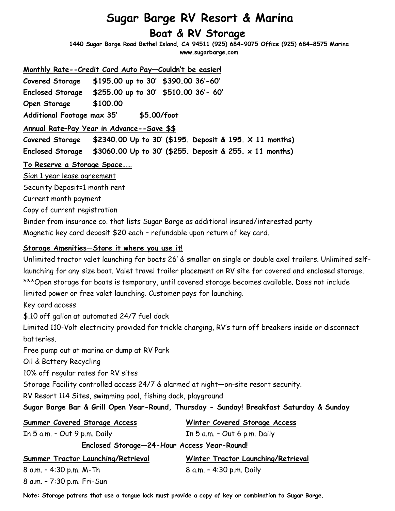# **Sugar Barge RV Resort & Marina Boat & RV Storage**

**1440 Sugar Barge Road Bethel Island, CA 94511 (925) 684-9075 Office (925) 684-8575 Marina www.sugarbarge.com**

**Monthly Rate--Credit Card Auto Pay—Couldn't be easier!**

**Covered Storage \$195.00 up to 30' \$390.00 36'-60' Enclosed Storage \$255.00 up to 30' \$510.00 36'- 60'**

**Open Storage \$100.00**

**Additional Footage max 35' \$5.00/foot**

## **Annual Rate–Pay Year in Advance--Save \$\$**

**Covered Storage \$2340.00 Up to 30' (\$195. Deposit & 195. X 11 months) Enclosed Storage \$3060.00 Up to 30' (\$255. Deposit & 255. x 11 months)**

## **To Reserve a Storage Space……**

Sign 1 year lease agreement

Security Deposit=1 month rent

Current month payment

Copy of current registration

Binder from insurance co. that lists Sugar Barge as additional insured/interested party Magnetic key card deposit \$20 each – refundable upon return of key card.

## **Storage Amenities—Store it where you use it!**

Unlimited tractor valet launching for boats 26' & smaller on single or double axel trailers. Unlimited selflaunching for any size boat. Valet travel trailer placement on RV site for covered and enclosed storage. \*\*\*Open storage for boats is temporary, until covered storage becomes available. Does not include limited power or free valet launching. Customer pays for launching. Key card access \$.10 off gallon at automated 24/7 fuel dock Limited 110-Volt electricity provided for trickle charging, RV's turn off breakers inside or disconnect batteries. Free pump out at marina or dump at RV Park

Oil & Battery Recycling

10% off regular rates for RV sites

Storage Facility controlled access 24/7 & alarmed at night—on-site resort security.

RV Resort 114 Sites, swimming pool, fishing dock, playground

## **Sugar Barge Bar & Grill Open Year-Round, Thursday - Sunday! Breakfast Saturday & Sunday**

| <b>Summer Covered Storage Access</b>        | Winter Covered Storage Access      |
|---------------------------------------------|------------------------------------|
| In 5 a.m. - Out 9 p.m. Daily                | In $5$ a.m. $-$ Out 6 p.m. Daily   |
| Enclosed Storage-24-Hour Access Year-Round! |                                    |
| Summer Tractor Launching/Retrieval          | Winter Tractor Launching/Retrieval |
| 8 a.m. - 4:30 p.m. M-Th                     | 8 a.m. - 4:30 p.m. Daily           |
| 8 a.m. - 7:30 p.m. Fri-Sun                  |                                    |

**Note: Storage patrons that use a tongue lock must provide a copy of key or combination to Sugar Barge.**